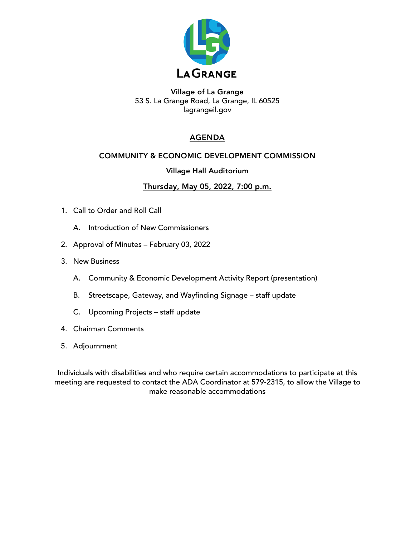

Village of La Grange 53 S. La Grange Road, La Grange, IL 60525 lagrangeil.gov

# AGENDA

## COMMUNITY & ECONOMIC DEVELOPMENT COMMISSION

## Village Hall Auditorium

## Thursday, May 05, 2022, 7:00 p.m.

- 1. Call to Order and Roll Call
	- A. Introduction of New Commissioners
- 2. Approval of Minutes February 03, 2022
- 3. New Business
	- A. Community & Economic Development Activity Report (presentation)
	- B. Streetscape, Gateway, and Wayfinding Signage staff update
	- C. Upcoming Projects staff update
- 4. Chairman Comments
- 5. Adjournment

Individuals with disabilities and who require certain accommodations to participate at this meeting are requested to contact the ADA Coordinator at 579-2315, to allow the Village to make reasonable accommodations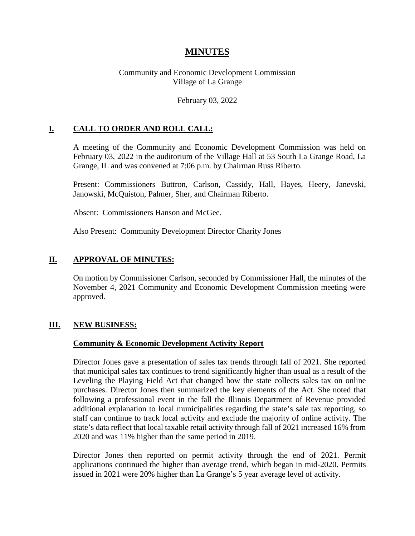# **MINUTES**

### Community and Economic Development Commission Village of La Grange

#### February 03, 2022

## **I. CALL TO ORDER AND ROLL CALL:**

A meeting of the Community and Economic Development Commission was held on February 03, 2022 in the auditorium of the Village Hall at 53 South La Grange Road, La Grange, IL and was convened at 7:06 p.m. by Chairman Russ Riberto.

Present: Commissioners Buttron, Carlson, Cassidy, Hall, Hayes, Heery, Janevski, Janowski, McQuiston, Palmer, Sher, and Chairman Riberto.

Absent: Commissioners Hanson and McGee.

Also Present: Community Development Director Charity Jones

### **II. APPROVAL OF MINUTES:**

On motion by Commissioner Carlson, seconded by Commissioner Hall, the minutes of the November 4, 2021 Community and Economic Development Commission meeting were approved.

#### **III. NEW BUSINESS:**

#### **Community & Economic Development Activity Report**

Director Jones gave a presentation of sales tax trends through fall of 2021. She reported that municipal sales tax continues to trend significantly higher than usual as a result of the Leveling the Playing Field Act that changed how the state collects sales tax on online purchases. Director Jones then summarized the key elements of the Act. She noted that following a professional event in the fall the Illinois Department of Revenue provided additional explanation to local municipalities regarding the state's sale tax reporting, so staff can continue to track local activity and exclude the majority of online activity. The state's data reflect that local taxable retail activity through fall of 2021 increased 16% from 2020 and was 11% higher than the same period in 2019.

Director Jones then reported on permit activity through the end of 2021. Permit applications continued the higher than average trend, which began in mid-2020. Permits issued in 2021 were 20% higher than La Grange's 5 year average level of activity.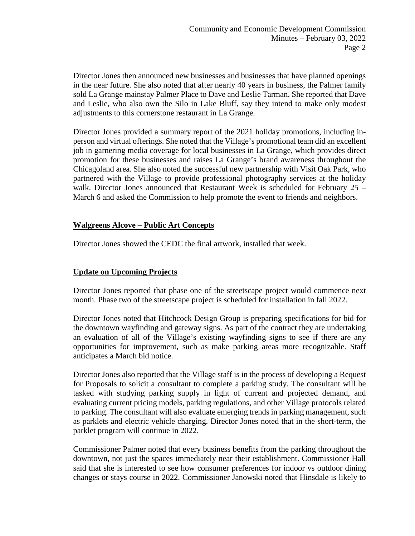Director Jones then announced new businesses and businesses that have planned openings in the near future. She also noted that after nearly 40 years in business, the Palmer family sold La Grange mainstay Palmer Place to Dave and Leslie Tarman. She reported that Dave and Leslie, who also own the Silo in Lake Bluff, say they intend to make only modest adjustments to this cornerstone restaurant in La Grange.

Director Jones provided a summary report of the 2021 holiday promotions, including inperson and virtual offerings. She noted that the Village's promotional team did an excellent job in garnering media coverage for local businesses in La Grange, which provides direct promotion for these businesses and raises La Grange's brand awareness throughout the Chicagoland area. She also noted the successful new partnership with Visit Oak Park, who partnered with the Village to provide professional photography services at the holiday walk. Director Jones announced that Restaurant Week is scheduled for February 25 – March 6 and asked the Commission to help promote the event to friends and neighbors.

## **Walgreens Alcove – Public Art Concepts**

Director Jones showed the CEDC the final artwork, installed that week.

# **Update on Upcoming Projects**

Director Jones reported that phase one of the streetscape project would commence next month. Phase two of the streetscape project is scheduled for installation in fall 2022.

Director Jones noted that Hitchcock Design Group is preparing specifications for bid for the downtown wayfinding and gateway signs. As part of the contract they are undertaking an evaluation of all of the Village's existing wayfinding signs to see if there are any opportunities for improvement, such as make parking areas more recognizable. Staff anticipates a March bid notice.

Director Jones also reported that the Village staff is in the process of developing a Request for Proposals to solicit a consultant to complete a parking study. The consultant will be tasked with studying parking supply in light of current and projected demand, and evaluating current pricing models, parking regulations, and other Village protocols related to parking. The consultant will also evaluate emerging trends in parking management, such as parklets and electric vehicle charging. Director Jones noted that in the short-term, the parklet program will continue in 2022.

Commissioner Palmer noted that every business benefits from the parking throughout the downtown, not just the spaces immediately near their establishment. Commissioner Hall said that she is interested to see how consumer preferences for indoor vs outdoor dining changes or stays course in 2022. Commissioner Janowski noted that Hinsdale is likely to